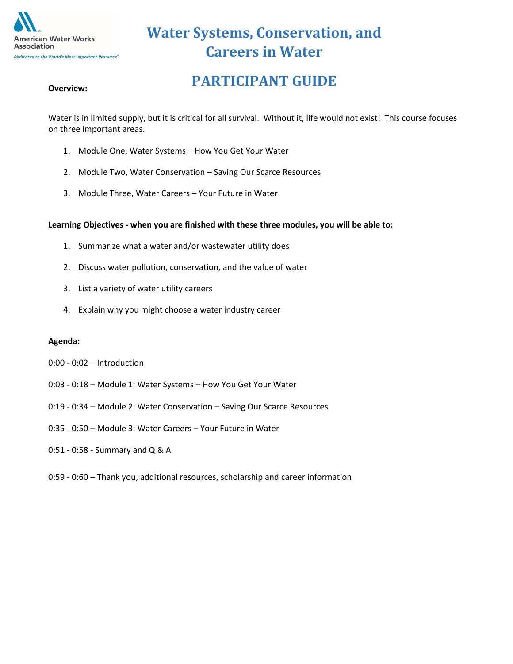

# **PARTICIPANT GUIDE**

Water is in limited supply, but it is critical for all survival. Without it, life would not exist! This course focuses on three important areas.

- 1. Module One, Water Systems How You Get Your Water
- 2. Module Two, Water Conservation Saving Our Scarce Resources
- 3. Module Three, Water Careers Your Future in Water

#### **Learning Objectives - when you are finished with these three modules, you will be able to:**

- 1. Summarize what a water and/or wastewater utility does
- 2. Discuss water pollution, conservation, and the value of water
- 3. List a variety of water utility careers
- 4. Explain why you might choose a water industry career

#### **Agenda:**

- 0:00 0:02 Introduction
- 0:03 0:18 Module 1: Water Systems How You Get Your Water
- 0:19 0:34 Module 2: Water Conservation Saving Our Scarce Resources
- 0:35 0:50 Module 3: Water Careers Your Future in Water
- 0:51 0:58 Summary and Q & A
- 0:59 0:60 Thank you, additional resources, scholarship and career information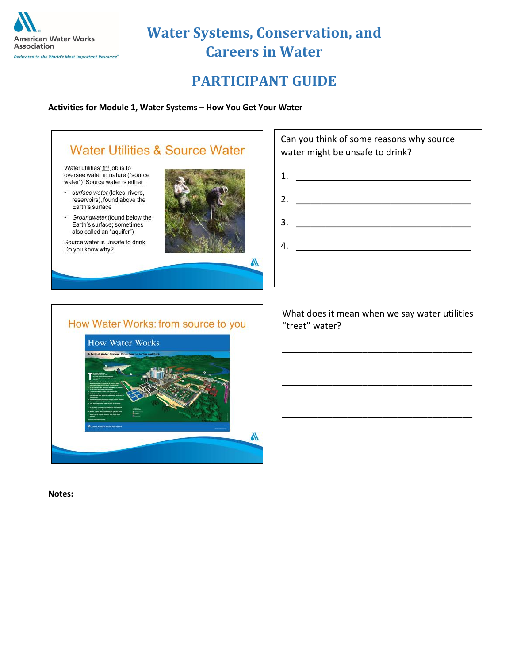

### **PARTICIPANT GUIDE**

**Activities for Module 1, Water Systems – How You Get Your Water**



#### How Water Works: from source to you



| What does it mean when we say water utilities<br>"treat" water? |
|-----------------------------------------------------------------|
|                                                                 |
|                                                                 |
|                                                                 |
|                                                                 |
|                                                                 |
|                                                                 |

**Notes:**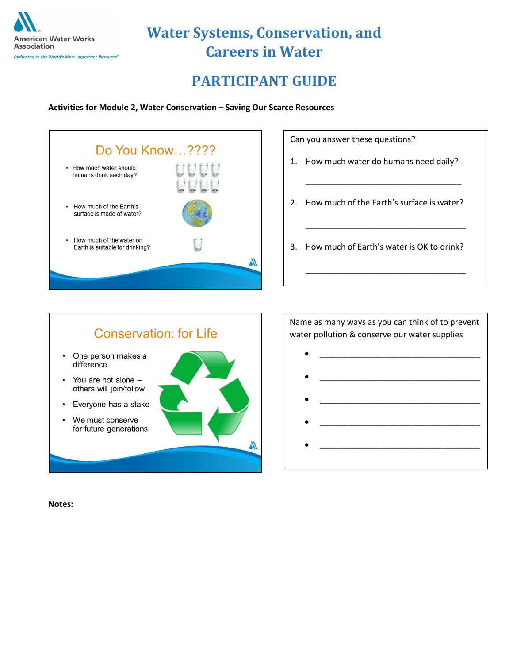

### **PARTICIPANT GUIDE**

**Activities for Module 2, Water Conservation – Saving Our Scarce Resources**



Can you answer these questions?

- 1. How much water do humans need daily?
- 2. How much of the Earth's surface is water?

\_\_\_\_\_\_\_\_\_\_\_\_\_\_\_\_\_\_\_\_\_\_\_\_\_\_\_\_\_\_\_\_\_\_

\_\_\_\_\_\_\_\_\_\_\_\_\_\_\_\_\_\_\_\_\_\_\_\_\_\_\_\_\_\_\_\_\_\_\_

\_\_\_\_\_\_\_\_\_\_\_\_\_\_\_\_\_\_\_\_\_\_\_\_\_\_\_\_\_\_\_\_\_\_\_

3. How much of Earth's water is OK to drink?



Name as many ways as you can think of to prevent water pollution & conserve our water supplies

- $\bullet$   $\qquad \qquad$   $\qquad$   $\qquad$   $\qquad$   $\qquad$   $\qquad$   $\qquad$   $\qquad$   $\qquad$   $\qquad$   $\qquad$   $\qquad$   $\qquad$   $\qquad$   $\qquad$   $\qquad$   $\qquad$   $\qquad$   $\qquad$   $\qquad$   $\qquad$   $\qquad$   $\qquad$   $\qquad$   $\qquad$   $\qquad$   $\qquad$   $\qquad$   $\qquad$   $\qquad$   $\qquad$   $\qquad$   $\qquad$   $\qquad$   $\qquad$   $\q$  $\bullet$   $\qquad \qquad \qquad \qquad \qquad \qquad \qquad \qquad \qquad \qquad \qquad \qquad \qquad \qquad \qquad \qquad \qquad \qquad \qquad \qquad \qquad \qquad \qquad \qquad \qquad \qquad \qquad \qquad \qquad \qquad \qquad \qquad \qquad \qquad \qquad \qquad \qquad \qquad \qquad \qquad \qquad \qquad \qquad \q$
- $\bullet$   $\qquad \qquad \qquad \qquad \qquad \qquad \qquad \qquad \qquad \qquad \qquad \qquad \qquad \qquad \qquad \qquad \qquad \qquad \qquad \qquad \qquad \qquad \qquad \qquad \qquad \qquad \qquad \qquad \qquad \qquad \qquad \qquad \qquad \qquad \qquad \qquad \qquad \qquad \qquad \qquad \qquad \qquad \qquad \q$
- $\bullet$   $\qquad \qquad \qquad \qquad \qquad \qquad \qquad \qquad \qquad \qquad \qquad \qquad \qquad \qquad \qquad \qquad \qquad \qquad \qquad \qquad \qquad \qquad \qquad \qquad \qquad \qquad \qquad \qquad \qquad \qquad \qquad \qquad \qquad \qquad \qquad \qquad \qquad \qquad \qquad \qquad \qquad \qquad \qquad \q$
- $\bullet$   $\qquad \qquad \qquad \qquad \qquad \qquad \qquad \qquad \qquad \qquad \qquad \qquad \qquad \qquad \qquad \qquad \qquad \qquad \qquad \qquad \qquad \qquad \qquad \qquad \qquad \qquad \qquad \qquad \qquad \qquad \qquad \qquad \qquad \qquad \qquad \qquad \qquad \qquad \qquad \qquad \qquad \qquad \qquad \q$

**Notes:**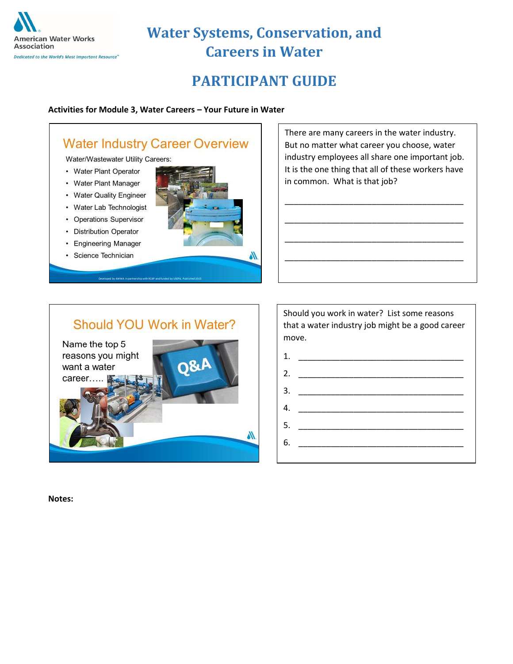

## **PARTICIPANT GUIDE**

#### **Activities for Module 3, Water Careers – Your Future in Water**

### **Water Industry Career Overview**

Water/Wastewater Utility Careers:

- Water Plant Operator
- Water Plant Manager
- Water Quality Engineer
- Water Lab Technologist
- Operations Supervisor
- Distribution Operator
- Engineering Manager
- · Science Technician



There are many careers in the water industry. But no matter what career you choose, water industry employees all share one important job. It is the one thing that all of these workers have in common. What is that job?

\_\_\_\_\_\_\_\_\_\_\_\_\_\_\_\_\_\_\_\_\_\_\_\_\_\_\_\_\_\_\_\_\_\_\_\_\_\_\_

\_\_\_\_\_\_\_\_\_\_\_\_\_\_\_\_\_\_\_\_\_\_\_\_\_\_\_\_\_\_\_\_\_\_\_\_\_\_\_

\_\_\_\_\_\_\_\_\_\_\_\_\_\_\_\_\_\_\_\_\_\_\_\_\_\_\_\_\_\_\_\_\_\_\_\_\_\_\_

\_\_\_\_\_\_\_\_\_\_\_\_\_\_\_\_\_\_\_\_\_\_\_\_\_\_\_\_\_\_\_\_\_\_\_\_\_\_\_

### Should YOU Work in Water?



Should you work in water? List some reasons that a water industry job might be a good career move.



**Notes:**